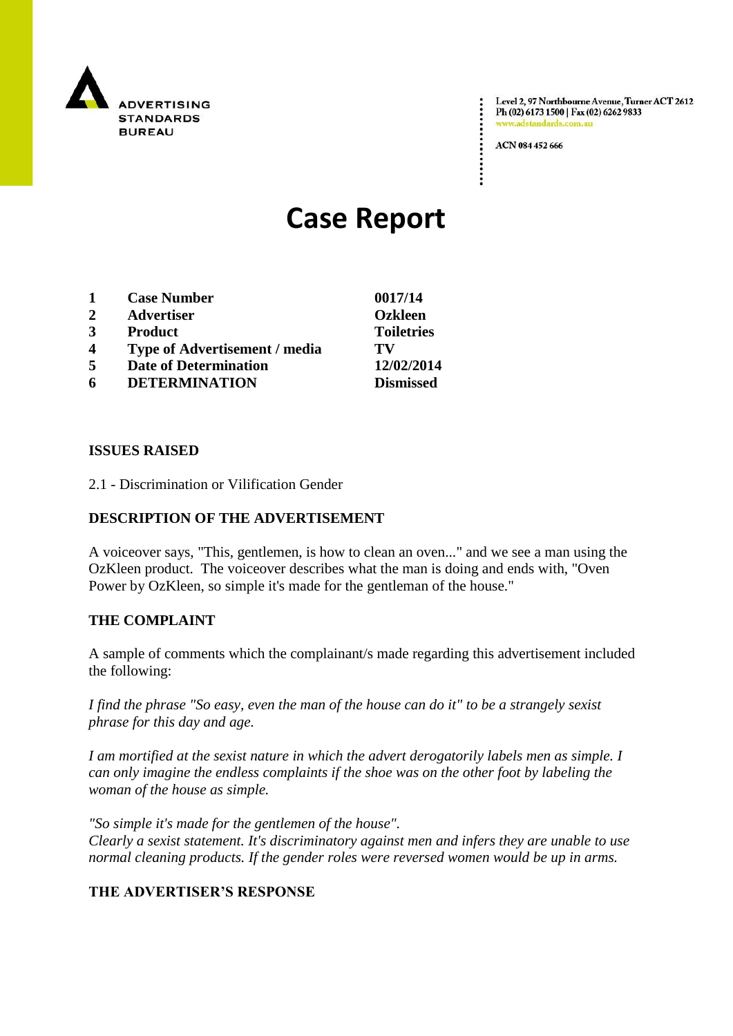

Level 2, 97 Northbourne Avenue, Turner ACT 2612 Ph (02) 6173 1500 | Fax (02) 6262 9833 www.adstandards.com.at

ACN 084 452 666

# **Case Report**

| 1                       | <b>Case Number</b>                   | 0017/14           |
|-------------------------|--------------------------------------|-------------------|
| 2                       | <b>Advertiser</b>                    | <b>Ozkleen</b>    |
| 3                       | <b>Product</b>                       | <b>Toiletries</b> |
| $\overline{\mathbf{4}}$ | <b>Type of Advertisement / media</b> | TV                |
| 5                       | <b>Date of Determination</b>         | 12/02/2014        |
| 6                       | <b>DETERMINATION</b>                 | <b>Dismissed</b>  |

#### **ISSUES RAISED**

2.1 - Discrimination or Vilification Gender

### **DESCRIPTION OF THE ADVERTISEMENT**

A voiceover says, "This, gentlemen, is how to clean an oven..." and we see a man using the OzKleen product. The voiceover describes what the man is doing and ends with, "Oven Power by OzKleen, so simple it's made for the gentleman of the house."

#### **THE COMPLAINT**

A sample of comments which the complainant/s made regarding this advertisement included the following:

*I find the phrase "So easy, even the man of the house can do it" to be a strangely sexist phrase for this day and age.*

*I am mortified at the sexist nature in which the advert derogatorily labels men as simple. I can only imagine the endless complaints if the shoe was on the other foot by labeling the woman of the house as simple.*

*"So simple it's made for the gentlemen of the house". Clearly a sexist statement. It's discriminatory against men and infers they are unable to use normal cleaning products. If the gender roles were reversed women would be up in arms.*

## **THE ADVERTISER'S RESPONSE**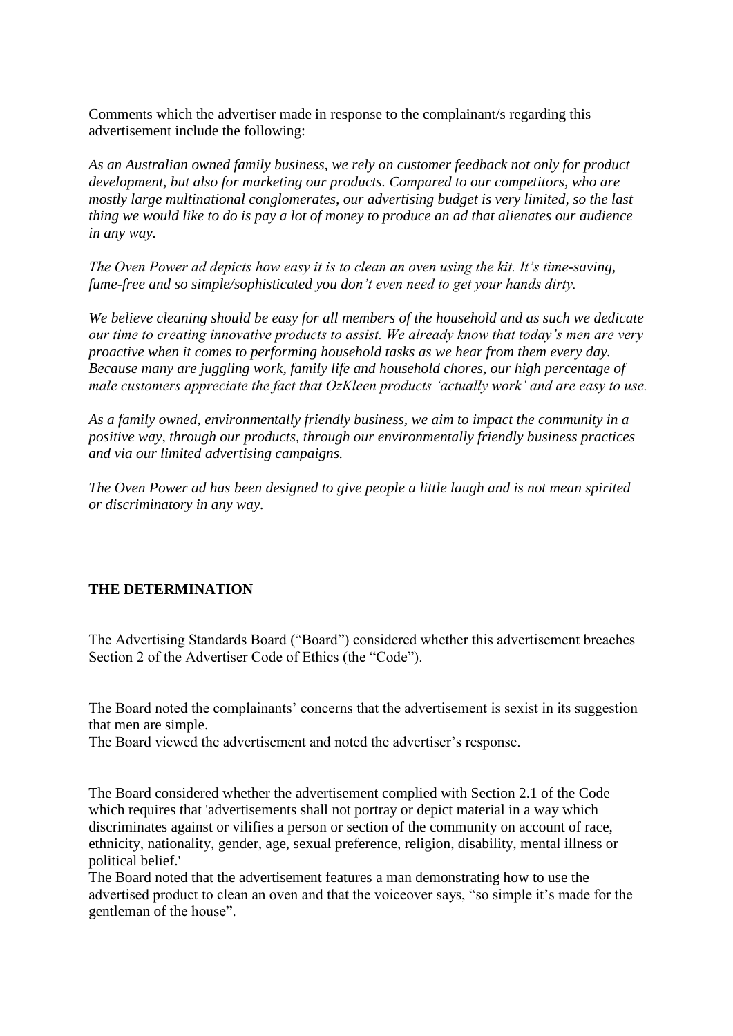Comments which the advertiser made in response to the complainant/s regarding this advertisement include the following:

*As an Australian owned family business, we rely on customer feedback not only for product development, but also for marketing our products. Compared to our competitors, who are mostly large multinational conglomerates, our advertising budget is very limited, so the last thing we would like to do is pay a lot of money to produce an ad that alienates our audience in any way.*

*The Oven Power ad depicts how easy it is to clean an oven using the kit. It's time-saving, fume-free and so simple/sophisticated you don't even need to get your hands dirty.*

*We believe cleaning should be easy for all members of the household and as such we dedicate our time to creating innovative products to assist. We already know that today's men are very proactive when it comes to performing household tasks as we hear from them every day. Because many are juggling work, family life and household chores, our high percentage of male customers appreciate the fact that OzKleen products 'actually work' and are easy to use.*

*As a family owned, environmentally friendly business, we aim to impact the community in a positive way, through our products, through our environmentally friendly business practices and via our limited advertising campaigns.*

*The Oven Power ad has been designed to give people a little laugh and is not mean spirited or discriminatory in any way.* 

#### **THE DETERMINATION**

The Advertising Standards Board ("Board") considered whether this advertisement breaches Section 2 of the Advertiser Code of Ethics (the "Code").

The Board noted the complainants' concerns that the advertisement is sexist in its suggestion that men are simple.

The Board viewed the advertisement and noted the advertiser's response.

The Board considered whether the advertisement complied with Section 2.1 of the Code which requires that 'advertisements shall not portray or depict material in a way which discriminates against or vilifies a person or section of the community on account of race, ethnicity, nationality, gender, age, sexual preference, religion, disability, mental illness or political belief.'

The Board noted that the advertisement features a man demonstrating how to use the advertised product to clean an oven and that the voiceover says, "so simple it's made for the gentleman of the house".